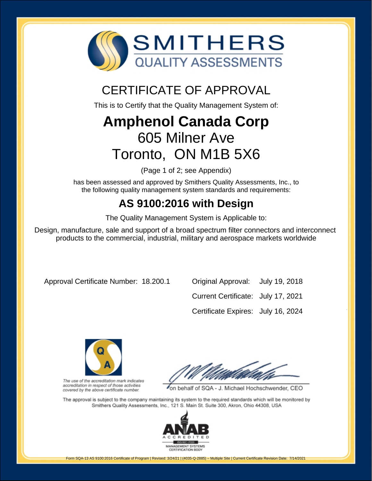

## CERTIFICATE OF APPROVAL

This is to Certify that the Quality Management System of:

# **Amphenol Canada Corp** 605 Milner Ave Toronto, ON M1B 5X6

(Page 1 of 2; see Appendix)

has been assessed and approved by Smithers Quality Assessments, Inc., to the following quality management system standards and requirements:

### **AS 9100:2016 with Design**

The Quality Management System is Applicable to:

Design, manufacture, sale and support of a broad spectrum filter connectors and interconnect products to the commercial, industrial, military and aerospace markets worldwide

Approval Certificate Number: 18.200.1 Original Approval: July 19, 2018

Current Certificate: July 17, 2021 Certificate Expires: July 16, 2024



The use of the accreditation mark indicates accreditation in respect of those activities covered by the above certificate number.

on behalf of SQA - J. Michael Hochschwender, CEO

The approval is subject to the company maintaining its system to the required standards which will be monitored by Smithers Quality Assessments, Inc., 121 S. Main St. Suite 300, Akron, Ohio 44308, USA